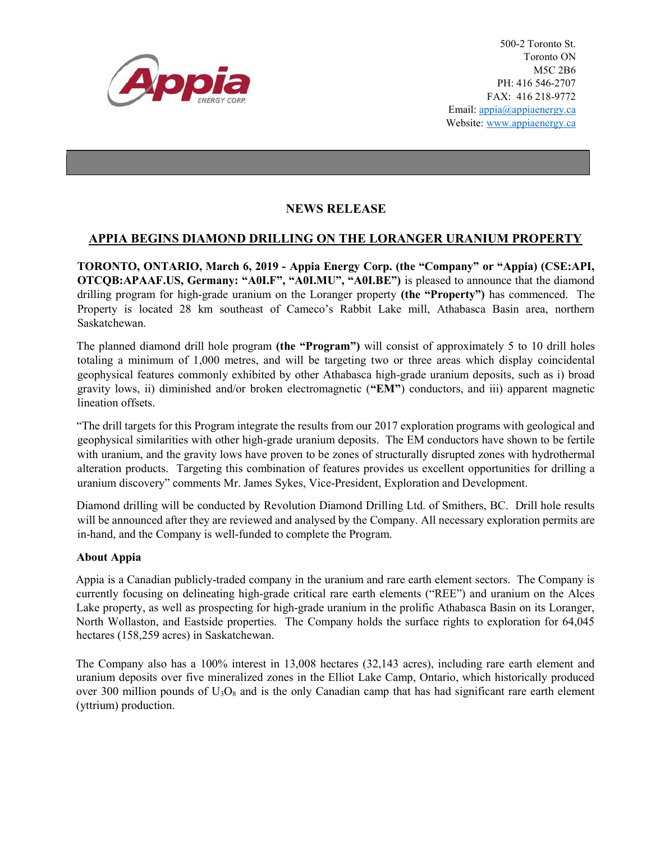

500-2 Toronto St. Toronto ON M5C 2B6 PH: 416 546-2707 FAX: 416 218-9772 Email: appia@appiaenergy.ca Website: www.appiaenergy.ca

## NEWS RELEASE

## APPIA BEGINS DIAMOND DRILLING ON THE LORANGER URANIUM PROPERTY

TORONTO, ONTARIO, March 6, 2019 - Appia Energy Corp. (the "Company" or "Appia) (CSE:API, OTCQB:APAAF.US, Germany: "A0I.F", "A0I.MU", "A0I.BE") is pleased to announce that the diamond drilling program for high-grade uranium on the Loranger property (the "Property") has commenced. The Property is located 28 km southeast of Cameco's Rabbit Lake mill, Athabasca Basin area, northern Saskatchewan.

The planned diamond drill hole program (the "Program") will consist of approximately 5 to 10 drill holes totaling a minimum of 1,000 metres, and will be targeting two or three areas which display coincidental geophysical features commonly exhibited by other Athabasca high-grade uranium deposits, such as i) broad gravity lows, ii) diminished and/or broken electromagnetic ("EM") conductors, and iii) apparent magnetic lineation offsets.

"The drill targets for this Program integrate the results from our 2017 exploration programs with geological and geophysical similarities with other high-grade uranium deposits. The EM conductors have shown to be fertile with uranium, and the gravity lows have proven to be zones of structurally disrupted zones with hydrothermal alteration products. Targeting this combination of features provides us excellent opportunities for drilling a uranium discovery" comments Mr. James Sykes, Vice-President, Exploration and Development.

Diamond drilling will be conducted by Revolution Diamond Drilling Ltd. of Smithers, BC. Drill hole results will be announced after they are reviewed and analysed by the Company. All necessary exploration permits are in-hand, and the Company is well-funded to complete the Program.

## About Appia

Appia is a Canadian publicly-traded company in the uranium and rare earth element sectors. The Company is currently focusing on delineating high-grade critical rare earth elements ("REE") and uranium on the Alces Lake property, as well as prospecting for high-grade uranium in the prolific Athabasca Basin on its Loranger, North Wollaston, and Eastside properties. The Company holds the surface rights to exploration for 64,045 hectares (158,259 acres) in Saskatchewan.

The Company also has a 100% interest in 13,008 hectares (32,143 acres), including rare earth element and uranium deposits over five mineralized zones in the Elliot Lake Camp, Ontario, which historically produced over 300 million pounds of  $U_3O_8$  and is the only Canadian camp that has had significant rare earth element (yttrium) production.